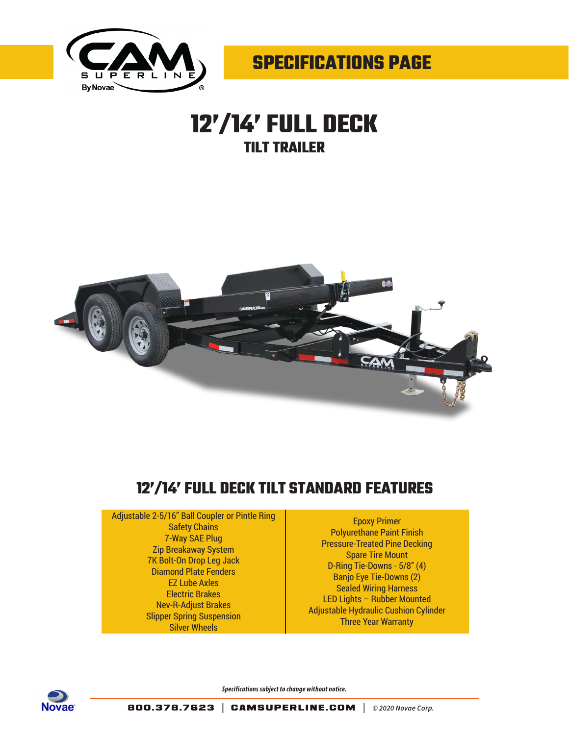

## **12'/14' FULL DECK TILT TRAILER**



## **12'/14' FULL DECK TILT STANDARD FEATURES**

## Adjustable 2-5/16" Ball Coupler or Pintle Ring

Safety Chains 7-Way SAE Plug Zip Breakaway System 7K Bolt-On Drop Leg Jack Diamond Plate Fenders EZ Lube Axles Electric Brakes Nev-R-Adjust Brakes Slipper Spring Suspension Silver Wheels

Epoxy Primer Polyurethane Paint Finish Pressure-Treated Pine Decking Spare Tire Mount D-Ring Tie-Downs - 5/8" (4) Banjo Eye Tie-Downs (2) Sealed Wiring Harness LED Lights – Rubber Mounted Adjustable Hydraulic Cushion Cylinder Three Year Warranty



*Specifications subject to change without notice.*